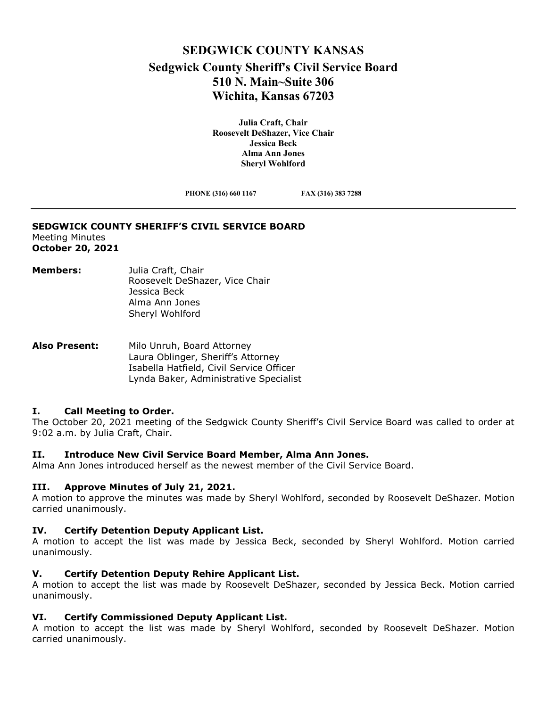## **SEDGWICK COUNTY KANSAS Sedgwick County Sheriff's Civil Service Board 510 N. Main~Suite 306 Wichita, Kansas 67203**

**Julia Craft, Chair Roosevelt DeShazer, Vice Chair Jessica Beck Alma Ann Jones Sheryl Wohlford** 

**PHONE (316) 660 1167 FAX (316) 383 7288**

# **SEDGWICK COUNTY SHERIFF'S CIVIL SERVICE BOARD**

Meeting Minutes **October 20, 2021**

- **Members:** Julia Craft, Chair Roosevelt DeShazer, Vice Chair Jessica Beck Alma Ann Jones Sheryl Wohlford
- **Also Present:** Milo Unruh, Board Attorney Laura Oblinger, Sheriff's Attorney Isabella Hatfield, Civil Service Officer Lynda Baker, Administrative Specialist

## **I. Call Meeting to Order.**

The October 20, 2021 meeting of the Sedgwick County Sheriff's Civil Service Board was called to order at 9:02 a.m. by Julia Craft, Chair.

## **II. Introduce New Civil Service Board Member, Alma Ann Jones.**

Alma Ann Jones introduced herself as the newest member of the Civil Service Board.

## **III. Approve Minutes of July 21, 2021.**

A motion to approve the minutes was made by Sheryl Wohlford, seconded by Roosevelt DeShazer. Motion carried unanimously.

## **IV. Certify Detention Deputy Applicant List.**

A motion to accept the list was made by Jessica Beck, seconded by Sheryl Wohlford. Motion carried unanimously.

#### **V. Certify Detention Deputy Rehire Applicant List.**

A motion to accept the list was made by Roosevelt DeShazer, seconded by Jessica Beck. Motion carried unanimously.

## **VI. Certify Commissioned Deputy Applicant List.**

A motion to accept the list was made by Sheryl Wohlford, seconded by Roosevelt DeShazer. Motion carried unanimously.